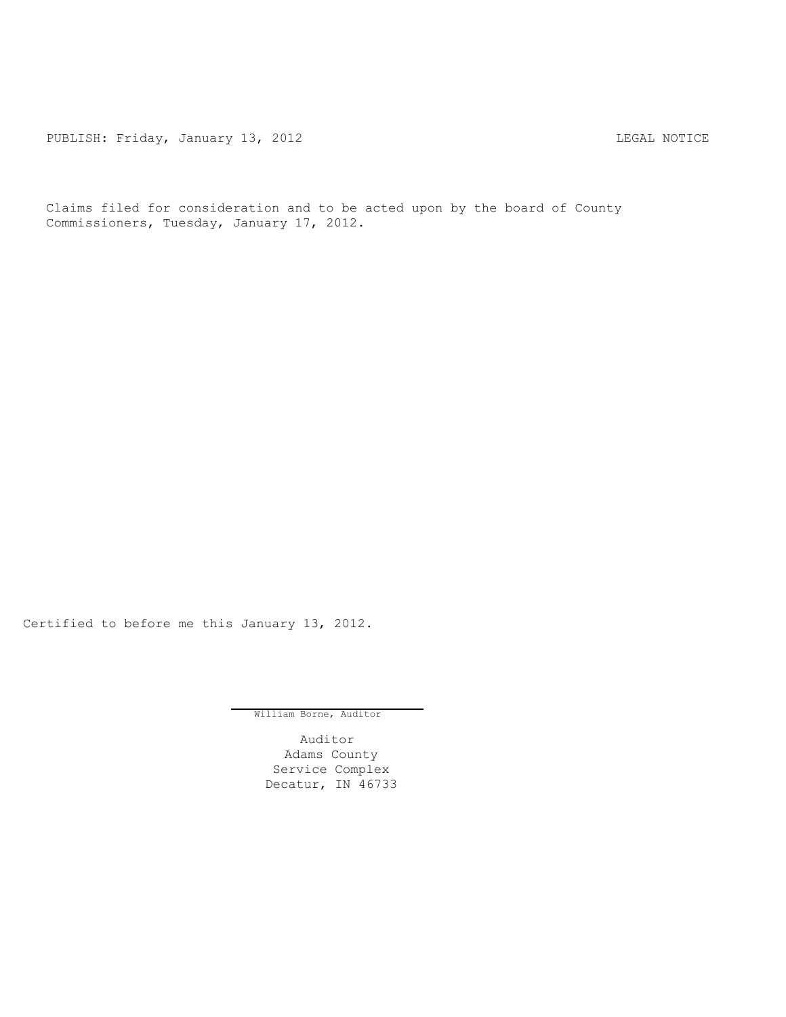PUBLISH: Friday, January 13, 2012 CHA CHANGE CONSTRUCTED AND THE LEGAL NOTICE

Claims filed for consideration and to be acted upon by the board of County Commissioners, Tuesday, January 17, 2012.

Certified to before me this January 13, 2012.

William Borne, Auditor

Auditor Adams County Service Complex Decatur, IN 46733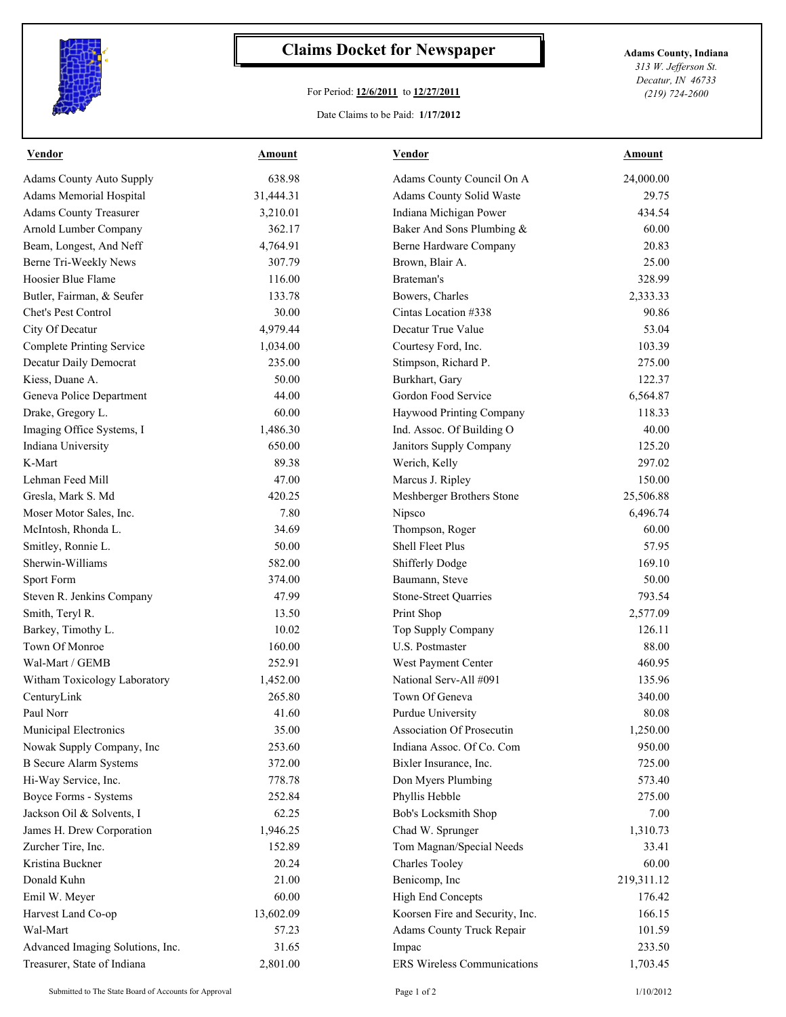

## **Claims Docket for Newspaper Adams County, Indiana**

## For Period: **12/6/2011** to **12/27/2011**

*313 W. Jefferson St. Decatur, IN 46733 (219) 724-2600*

## Date Claims to be Paid: **1/17/2012**

| <b>Vendor</b>                    | <b>Amount</b> | <b>Vendor</b>                      | <b>Amount</b> |
|----------------------------------|---------------|------------------------------------|---------------|
| <b>Adams County Auto Supply</b>  | 638.98        | Adams County Council On A          | 24,000.00     |
| Adams Memorial Hospital          | 31,444.31     | Adams County Solid Waste           | 29.75         |
| <b>Adams County Treasurer</b>    | 3,210.01      | Indiana Michigan Power             | 434.54        |
| Arnold Lumber Company            | 362.17        | Baker And Sons Plumbing &          | 60.00         |
| Beam, Longest, And Neff          | 4,764.91      | Berne Hardware Company             | 20.83         |
| Berne Tri-Weekly News            | 307.79        | Brown, Blair A.                    | 25.00         |
| Hoosier Blue Flame               | 116.00        | Brateman's                         | 328.99        |
| Butler, Fairman, & Seufer        | 133.78        | Bowers, Charles                    | 2,333.33      |
| Chet's Pest Control              | 30.00         | Cintas Location #338               | 90.86         |
| City Of Decatur                  | 4,979.44      | Decatur True Value                 | 53.04         |
| <b>Complete Printing Service</b> | 1,034.00      | Courtesy Ford, Inc.                | 103.39        |
| Decatur Daily Democrat           | 235.00        | Stimpson, Richard P.               | 275.00        |
| Kiess, Duane A.                  | 50.00         | Burkhart, Gary                     | 122.37        |
| Geneva Police Department         | 44.00         | Gordon Food Service                | 6,564.87      |
| Drake, Gregory L.                | 60.00         | Haywood Printing Company           | 118.33        |
| Imaging Office Systems, I        | 1,486.30      | Ind. Assoc. Of Building O          | 40.00         |
| Indiana University               | 650.00        | Janitors Supply Company            | 125.20        |
| K-Mart                           | 89.38         | Werich, Kelly                      | 297.02        |
| Lehman Feed Mill                 | 47.00         | Marcus J. Ripley                   | 150.00        |
| Gresla, Mark S. Md               | 420.25        | Meshberger Brothers Stone          | 25,506.88     |
| Moser Motor Sales, Inc.          | 7.80          | Nipsco                             | 6,496.74      |
| McIntosh, Rhonda L.              | 34.69         | Thompson, Roger                    | 60.00         |
| Smitley, Ronnie L.               | 50.00         | Shell Fleet Plus                   | 57.95         |
| Sherwin-Williams                 | 582.00        | <b>Shifferly Dodge</b>             | 169.10        |
| Sport Form                       | 374.00        | Baumann, Steve                     | 50.00         |
| Steven R. Jenkins Company        | 47.99         | <b>Stone-Street Quarries</b>       | 793.54        |
| Smith, Teryl R.                  | 13.50         | Print Shop                         | 2,577.09      |
| Barkey, Timothy L.               | 10.02         | Top Supply Company                 | 126.11        |
| Town Of Monroe                   | 160.00        | U.S. Postmaster                    | 88.00         |
| Wal-Mart / GEMB                  | 252.91        | West Payment Center                | 460.95        |
| Witham Toxicology Laboratory     | 1,452.00      | National Serv-All #091             | 135.96        |
| CenturyLink                      | 265.80        | Town Of Geneva                     | 340.00        |
| Paul Norr                        | 41.60         | Purdue University                  | 80.08         |
| Municipal Electronics            | 35.00         | Association Of Prosecutin          | 1,250.00      |
| Nowak Supply Company, Inc        | 253.60        | Indiana Assoc. Of Co. Com          | 950.00        |
| <b>B</b> Secure Alarm Systems    | 372.00        | Bixler Insurance, Inc.             | 725.00        |
| Hi-Way Service, Inc.             | 778.78        | Don Myers Plumbing                 | 573.40        |
| Boyce Forms - Systems            | 252.84        | Phyllis Hebble                     | 275.00        |
| Jackson Oil & Solvents, I        | 62.25         | Bob's Locksmith Shop               | 7.00          |
| James H. Drew Corporation        | 1,946.25      | Chad W. Sprunger                   | 1,310.73      |
| Zurcher Tire, Inc.               | 152.89        | Tom Magnan/Special Needs           | 33.41         |
| Kristina Buckner                 | 20.24         | <b>Charles Tooley</b>              | 60.00         |
| Donald Kuhn                      |               |                                    |               |
|                                  | 21.00         | Benicomp, Inc                      | 219,311.12    |
| Emil W. Meyer                    | 60.00         | <b>High End Concepts</b>           | 176.42        |
| Harvest Land Co-op               | 13,602.09     | Koorsen Fire and Security, Inc.    | 166.15        |
| Wal-Mart                         | 57.23         | Adams County Truck Repair          | 101.59        |
| Advanced Imaging Solutions, Inc. | 31.65         | Impac                              | 233.50        |
| Treasurer, State of Indiana      | 2,801.00      | <b>ERS Wireless Communications</b> | 1,703.45      |